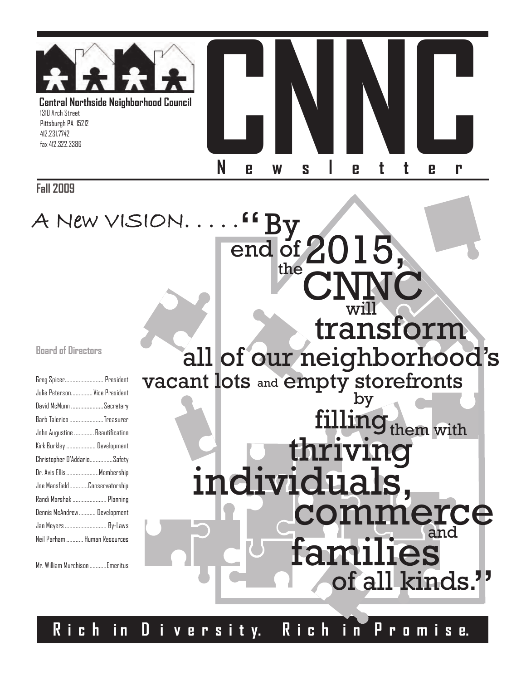

**By** 

"

**Fall 2009**

A New VISION. . . . .

#### **Board of Directors**

| Greg Spicer President          |  |
|--------------------------------|--|
| Julie Peterson Vice President  |  |
| David McMunn Secretary         |  |
| Barb Talerico Treasurer        |  |
| John Augustine  Beautification |  |
| Kirk Burkley  Development      |  |
| Christopher D'AddarioSafety    |  |
| Dr. Avis Ellis Membership      |  |
| Joe MansfieldConservatorship   |  |
| Randi Marshak  Planning        |  |
| Dennis McAndrew Development    |  |
| Jan Meyers  By-Laws            |  |
| Neil Parham  Human Resources   |  |
|                                |  |

Mr. William Murchison...........Emeritus

transform all of our neighborhood's vacant lots and empty storefronts by

end of  $2015$ ,

the CNNC

will

thriving filling<sub>them with</sub>

nerce and individua families of all kinds. "

**R i c h i n D i v e r s i t y. R i c h i n P r o m i s e.**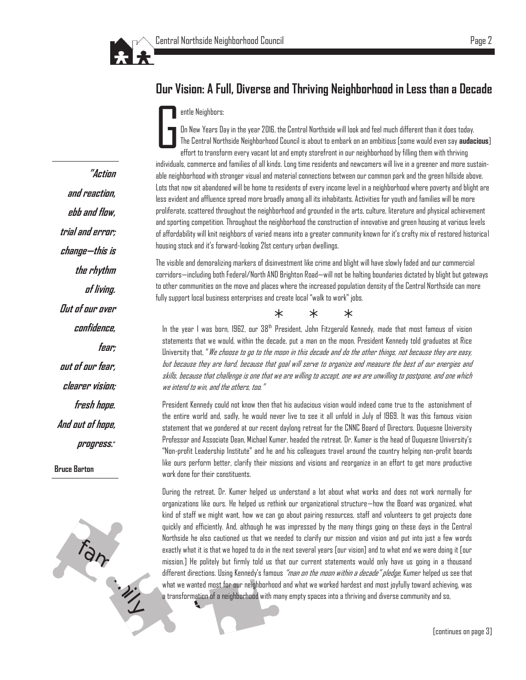

## **Our Vision: A Full, Diverse and Thriving Neighborhood in Less than a Decade**

#### entle Neighbors:

G On New Years Day in the year 2016, the Central Northside will look and feel much different than it does today. The Central Northside Neighborhood Council is about to embark on an ambitious [some would even say **audacious**] effort to transform every vacant lot and empty storefront in our neighborhood by filling them with thriving individuals, commerce and families of all kinds. Long time residents and newcomers will live in a greener and more sustainable neighborhood with stronger visual and material connections between our common park and the green hillside above. Lots that now sit abandoned will be home to residents of every income level in a neighborhood where poverty and blight are less evident and affluence spread more broadly among all its inhabitants. Activities for youth and families will be more proliferate, scattered throughout the neighborhood and grounded in the arts, culture, literature and physical achievement and sporting competition. Throughout the neighborhood the construction of innovative and green housing at various levels of affordability will knit neighbors of varied means into a greater community known for it's crafty mix of restored historical housing stock and it's forward-looking 21st century urban dwellings.

The visible and demoralizing markers of disinvestment like crime and blight will have slowly faded and our commercial corridors—including both Federal/North AND Brighton Road—will not be halting boundaries dictated by blight but gateways to other communities on the move and places where the increased population density of the Central Northside can more fully support local business enterprises and create local "walk to work" jobs.

\* \* \*

In the year I was born, 1962, our  $38<sup>th</sup>$  President, John Fitzgerald Kennedy, made that most famous of vision statements that we would, within the decade, put a man on the moon. President Kennedy told graduates at Rice University that, "We choose to go to the moon in this decade and do the other things, not because they are easy, but because they are hard, because that goal will serve to organize and measure the best of our energies and skills, because that challenge is one that we are willing to accept, one we are unwilling to postpone, and one which we intend to win, and the others, too."

President Kennedy could not know then that his audacious vision would indeed come true to the astonishment of the entire world and, sadly, he would never live to see it all unfold in July of 1969. It was this famous vision statement that we pondered at our recent daylong retreat for the CNNC Board of Directors. Duquesne University Professor and Associate Dean, Michael Kumer, headed the retreat. Dr. Kumer is the head of Duquesne University's "Non-profit Leadership Institute" and he and his colleagues travel around the country helping non-profit boards like ours perform better, clarify their missions and visions and reorganize in an effort to get more productive work done for their constituents.

During the retreat, Dr. Kumer helped us understand a lot about what works and does not work normally for organizations like ours. He helped us rethink our organizational structure—how the Board was organized, what kind of staff we might want, how we can go about pairing resources, staff and volunteers to get projects done quickly and efficiently. And, although he was impressed by the many things going on these days in the Central Northside he also cautioned us that we needed to clarify our mission and vision and put into just a few words exactly what it is that we hoped to do in the next several years [our vision] and to what end we were doing it [our mission.] He politely but firmly told us that our current statements would only have us going in a thousand different directions. Using Kennedy's famous *"man on the moon within a decade" pledge,* Kumer helped us see that what we wanted most for our neighborhood and what we worked hardest and most joyfully toward achieving, was a transformation of a neighborhood with many empty spaces into a thriving and diverse community and so,

**"Action and reaction, ebb and flow, trial and error; change—this is the rhythm of living. Out of our over confidence, fear; out of our fear, clearer vision; fresh hope. And out of hope, progress." Bruce Barton**

Fam<sub>ily</sub>

[continues on page 3]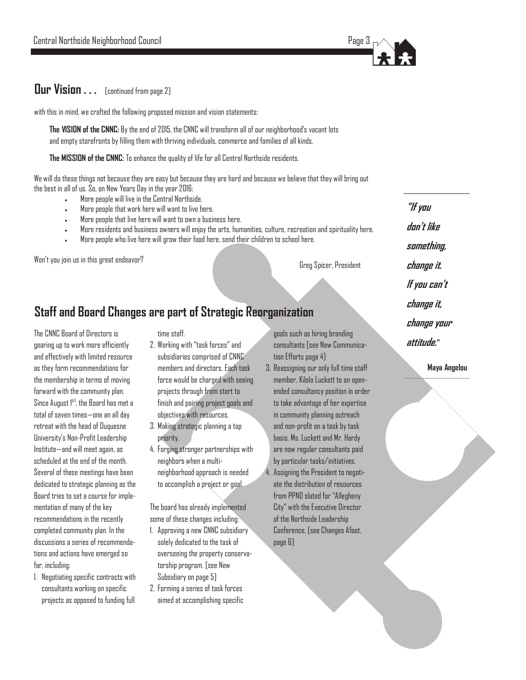

#### **Our Vision . . .** [continued from page 2]

with this in mind, we crafted the following proposed mission and vision statements:

**The VISION of the CNNC:** By the end of 2015, the CNNC will transform all of our neighborhood's vacant lots and empty storefronts by filling them with thriving individuals, commerce and families of all kinds.

**The MISSION of the CNNC:** To enhance the quality of life for all Central Northside residents.

We will do these things not because they are easy but because they are hard and because we believe that they will bring out the best in all of us. So, on New Years Day in the year 2016:

- More people will live in the Central Northside.
- More people that work here will want to live here.
- More people that live here will want to own a business here.
- More residents and business owners will enjoy the arts, humanities, culture, recreation and spirituality here.
- More people who live here will grow their food here, send their children to school here.

Won't you join us in this great endeavor?

Greg Spicer, President

## **Staff and Board Changes are part of Strategic Reorganization**

The CNNC Board of Directors is gearing up to work more efficiently and effectively with limited resource as they form recommendations for the membership in terms of moving forward with the community plan. Since August 1<sup>st</sup>, the Board has met a total of seven times—one an all day retreat with the head of Duquesne University's Non-Profit Leadership Institute—and will meet again, as scheduled at the end of the month. Several of these meetings have been dedicated to strategic planning as the Board tries to set a course for implementation of many of the key recommendations in the recently completed community plan. In the discussions a series of recommendations and actions have emerged so far, including:

1. Negotiating specific contracts with consultants working on specific projects as opposed to funding full

time staff.

- 2. Working with "task forces" and subsidiaries comprised of CNNC members and directors. Each task force would be charged with seeing projects through from start to finish and pairing project goals and objectives with resources.
- 3. Making strategic planning a top priority.
- 4. Forging stronger partnerships with neighbors when a multineighborhood approach is needed to accomplish a project or goal.

The board has already implemented some of these changes including:

- 1. Approving a new CNNC subsidiary solely dedicated to the task of overseeing the property conservatorship program. [see New Subsidiary on page 5]
- 2. Forming a series of task forces aimed at accomplishing specific

goals such as hiring branding consultants [see New Communication Efforts page 4]

3. Reassigning our only full time staff member, Kilolo Luckett to an openended consultancy position in order to take advantage of her expertise in community planning outreach and non-profit on a task by task basis. Ms. Luckett and Mr. Hardy are now regular consultants paid by particular tasks/initiatives. 4. Assigning the President to negotiate the distribution of resources from PPND slated for "Allegheny City" with the Executive Director of the Northside Leadership Conference. [see Changes Afoot, page 6]

**"If you don't like something, change it. If you can't change it, change your attitude."**

**Maya Angelou**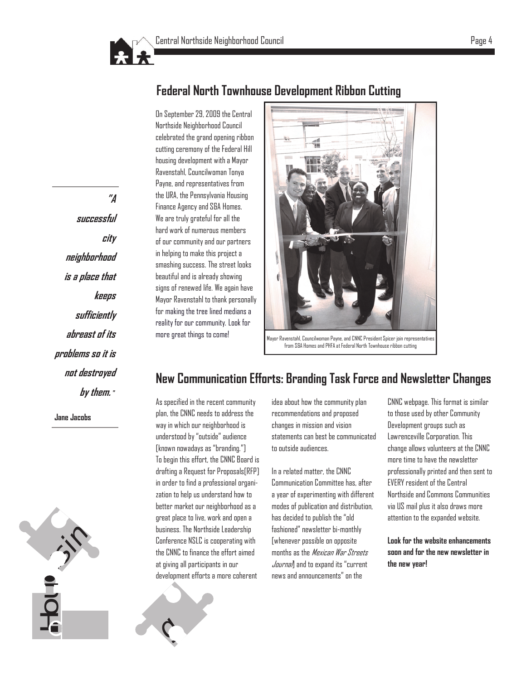

On September 29, 2009 the Central Northside Neighborhood Council celebrated the grand opening ribbon cutting ceremony of the Federal Hill housing development with a Mayor Ravenstahl, Councilwoman Tonya Payne, and representatives from the URA, the Pennsylvania Housing Finance Agency and S&A Homes. We are truly grateful for all the hard work of numerous members of our community and our partners in helping to make this project a smashing success. The street looks beautiful and is already showing signs of renewed life. We again have Mayor Ravenstahl to thank personally for making the tree lined medians a reality for our community. Look for more great things to come!

## **Federal North Townhouse Development Ribbon Cutting**

**"A successful city neighborhood is a place that keeps sufficiently abreast of its problems so it is not destroyed by them. "**

**Jane Jacobs**

Mayor Ravenstahl, Councilwoman Payne, and CNNC President Spicer join representatives from S&A Homes and PHFA at Federal North Townhouse ribbon cutting

## **New Communication Efforts: Branding Task Force and Newsletter Changes**

As specified in the recent community plan, the CNNC needs to address the way in which our neighborhood is understood by "outside" audience [known nowadays as "branding."] To begin this effort, the CNNC Board is drafting a Request for Proposals[RFP] in order to find a professional organization to help us understand how to better market our neighborhood as a great place to live, work and open a business. The Northside Leadership Conference NSLC is cooperating with the CNNC to finance the effort aimed at giving all participants in our development efforts a more coherent

 $\mathcal{C}_{\mathcal{C}}$ 

idea about how the community plan recommendations and proposed changes in mission and vision statements can best be communicated to outside audiences.

In a related matter, the CNNC Communication Committee has, after a year of experimenting with different modes of publication and distribution, has decided to publish the "old fashioned" newsletter bi-monthly [whenever possible on opposite months as the Mexican War Streets Journal and to expand its "current news and announcements" on the

CNNC webpage. This format is similar to those used by other Community Development groups such as Lawrenceville Corporation. This change allows volunteers at the CNNC more time to have the newsletter professionally printed and then sent to EVERY resident of the Central Northside and Commons Communities via US mail plus it also draws more attention to the expanded website.

**Look for the website enhancements soon and for the new newsletter in the new year!**



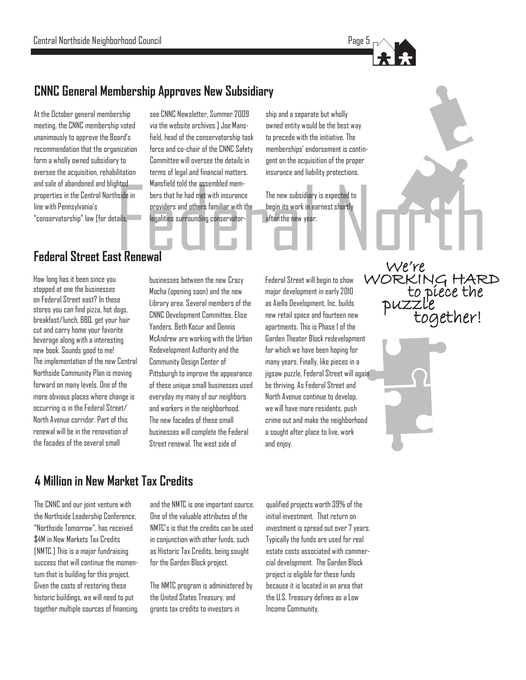

## **CNNC General Membership Approves New Subsidiary**

At the October general membership meeting, the CNNC membership voted unanimously to approve the Board's recommendation that the organization form a wholly owned subsidiary to oversee the acquisition, rehabilitation and sale of abandoned and blighted properties in the Central Northside in line with Pennsylvania's "conservatorship" law [for details,

Mansfield told the assembled mem-<br>
side in bers that he had met with insurance The new subsidiary is expected to<br>
providers and others familiar with the begin its work in earnest shortly<br>
legalities surrounding conservator see CNNC Newsletter, Summer 2009 via the website archives.] Joe Mansfield, head of the conservatorship task force and co-chair of the CNNC Safety Committee will oversee the details in terms of legal and financial matters. Mansfield told the assembled members that he had met with insurance providers and others familiar with the legalities surrounding conservator-

ship and a separate but wholly owned entity would be the best way to precede with the initiative. The memberships' endorsement is contingent on the acquisition of the proper insurance and liability protections.

The new subsidiary is expected to begin its work in earnest shortly after the new year.

## **Federal Street East Renewal**

How long has it been since you stopped at one the businesses on Federal Street east? In these stores you can find pizza, hot dogs, breakfast/lunch, BBQ, get your hair cut and carry home your favorite beverage along with a interesting new book. Sounds good to me! The implementation of the new Central Northside Community Plan is moving forward on many levels. One of the more obvious places where change is occurring is in the Federal Street/ North Avenue corridor. Part of this renewal will be in the renovation of the facades of the several small

businesses between the new Crazy Mocha (opening soon) and the new Library area. Several members of the CNNC Development Committee, Elise Yanders, Beth Kocur and Dennis McAndrew are working with the Urban Redevelopment Authority and the Community Design Center of Pittsburgh to improve the appearance of these unique small businesses used everyday my many of our neighbors and workers in the neighborhood. The new facades of these small businesses will complete the Federal Street renewal. The west side of

Federal Street will begin to show major development in early 2010 as Aiello Development, Inc. builds new retail space and fourteen new apartments. This is Phase 1 of the Garden Theater Block redevelopment for which we have been hoping for many years. Finally, like pieces in a jigsaw puzzle, Federal Street will again be thriving. As Federal Street and North Avenue continue to develop, we will have more residents, push crime out and make the neighborhood a sought after place to live, work and enjoy.

 We're to piece the WORKING HARD puzzle together!

**4 Million in New Market Tax Credits**

The CNNC and our joint venture with the Northside Leadership Conference, "Northside Tomorrow", has received \$4M in New Markets Tax Credits [NMTC.] This is a major fundraising success that will continue the momentum that is building for this project. Given the costs of restoring these historic buildings, we will need to put together multiple sources of financing,

and the NMTC is one important source. One of the valuable attributes of the NMTC's is that the credits can be used in conjunction with other funds, such as Historic Tax Credits, being sought for the Garden Block project.

The NMTC program is administered by the United States Treasury, and grants tax credits to investors in

qualified projects worth 39% of the initial investment. That return on investment is spread out over 7 years. Typically the funds are used for real estate costs associated with commercial development. The Garden Block project is eligible for these funds because it is located in an area that the U.S. Treasury defines as a Low Income Community.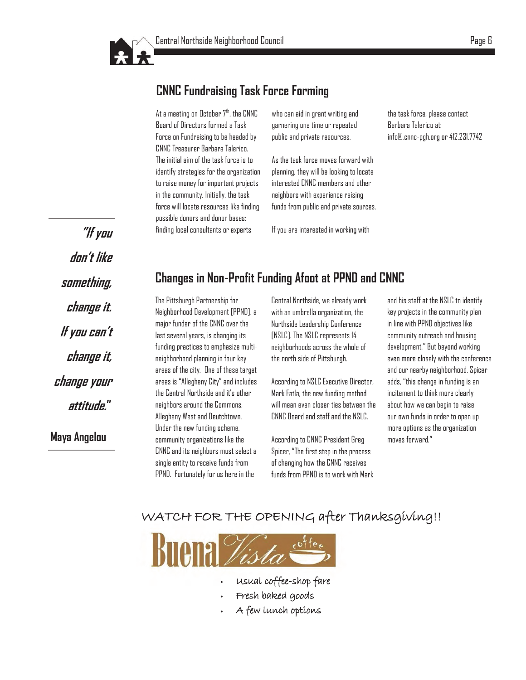## **CNNC Fundraising Task Force Forming**

At a meeting on October  $7<sup>th</sup>$ , the CNNC Board of Directors formed a Task Force on Fundraising to be headed by CNNC Treasurer Barbara Talerico. The initial aim of the task force is to identify strategies for the organization to raise money for important projects in the community. Initially, the task force will locate resources like finding possible donors and donor bases; finding local consultants or experts

who can aid in grant writing and garnering one time or repeated public and private resources.

As the task force moves forward with planning, they will be looking to locate interested CNNC members and other neighbors with experience raising funds from public and private sources.

If you are interested in working with

the task force, please contact Barbara Talerico at: info@.cnnc-pgh.org or 412.231.7742

**"If you don't like something, change it. If you can't change it, change your attitude." Maya Angelou**

## **Changes in Non-Profit Funding Afoot at PPND and CNNC**

The Pittsburgh Partnership for Neighborhood Development [PPND], a major funder of the CNNC over the last several years, is changing its funding practices to emphasize multineighborhood planning in four key areas of the city. One of these target areas is "Allegheny City" and includes the Central Northside and it's other neighbors around the Commons, Allegheny West and Deutchtown. Under the new funding scheme, community organizations like the CNNC and its neighbors must select a single entity to receive funds from PPND. Fortunately for us here in the

Central Northside, we already work with an umbrella organization, the Northside Leadership Conference [NSLC]. The NSLC represents 14 neighborhoods across the whole of the north side of Pittsburgh.

According to NSLC Executive Director, Mark Fatla, the new funding method will mean even closer ties between the CNNC Board and staff and the NSLC.

According to CNNC President Greg Spicer, "The first step in the process of changing how the CNNC receives funds from PPND is to work with Mark and his staff at the NSLC to identify key projects in the community plan in line with PPND objectives like community outreach and housing development." But beyond working even more closely with the conference and our nearby neighborhood, Spicer adds, "this change in funding is an incitement to think more clearly about how we can begin to raise our own funds in order to open up more options as the organization moves forward."

#### WATCH FOR THE OPENING after Thanksgiving!!



- Usual coffee-shop fare
- Fresh baked goods
- A few lunch options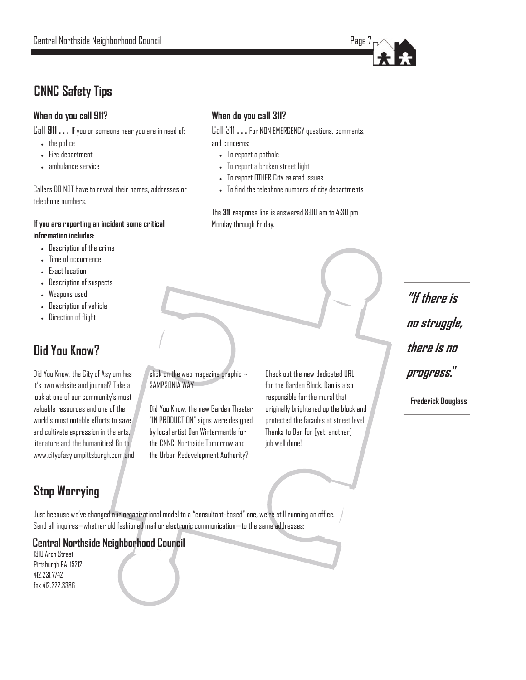## **CNNC Safety Tips**

#### **When do you call 911?**

Call **911 . . .** If you or someone near you are in need of:

- the police
- Fire department
- ambulance service

Callers DO NOT have to reveal their names, addresses or telephone numbers.

#### **If you are reporting an incident some critical information includes:**

- Description of the crime
- Time of occurrence
- Exact location
- Description of suspects
- Weapons used
- Description of vehicle
- Direction of flight

## **Did You Know?**

Did You Know, the City of Asylum has it's own website and journal? Take a look at one of our community's most valuable resources and one of the world's most notable efforts to save and cultivate expression in the arts, literature and the humanities! Go to www.cityofasylumpittsburgh.com and click on the web magazine graphic ~ SAMPSONIA WAY

**When do you call 311?**

To report a pothole

Monday through Friday.

 To report a broken street light To report OTHER City related issues

and concerns:

Call 3**11 . . .** For NON EMERGENCY questions, comments,

To find the telephone numbers of city departments

The **311** response line is answered 8:00 am to 4:30 pm

Did You Know, the new Garden Theater "IN PRODUCTION" signs were designed by local artist Dan Wintermantle for the CNNC, Northside Tomorrow and the Urban Redevelopment Authority?

Check out the new dedicated URL for the Garden Block. Dan is also responsible for the mural that originally brightened up the block and protected the facades at street level. Thanks to Dan for [yet, another] job well done!

**"If there is no struggle, there is no progress."**

**Frederick Douglass**

## **Stop Worrying**

Just because we've changed our organizational model to a "consultant-based" one, we're still running an office. Send all inquires—whether old fashioned mail or electronic communication—to the same addresses:

#### **Central Northside Neighborhood Council**

1310 Arch Street Pittsburgh PA 15212 412.231.7742 fax 412.322.3386

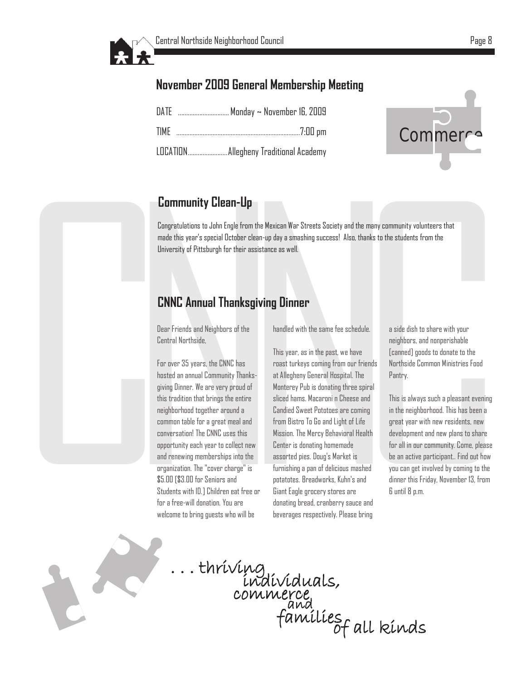

## **November 2009 General Membership Meeting**

| TIME |  |
|------|--|
|      |  |



## **Community Clean -Up**

Congratulations to John Engle from the Mexican War Streets Society and the many community volunteers that made this year's special October clean -up day a smashing success! Also, thanks to the students from the University of Pittsburgh for their assistance as well.

## **CNNC Annual Thanksgiving Dinner**

Dear Friends and Neighbors of the Central Northside,

C **Community Clean-Up**<br>
Congratulations to John Engle from the Mexic<br>
made this year's special October clean-up da<br>
University of Pittsburgh for their assistance<br> **CNNC Annual Thanksgiving**<br>
Dear Friends and Neighbors of the For over 35 years, the CNNC has hosted an annual Community Thanksgiving Dinner. We are very proud of this tradition that brings the entire neighborhood together around a common table for a great meal and conversation! The CNNC uses this opportunity each year to collect new and renewing memberships into the organization. The "cover charge" is \$5.00 [\$3.00 for Seniors and Students with ID.] Children eat free or for a free -will donation. You are welcome to bring guests who will be

handled with the same fee schedule.

**Solution State of Streets Society and the many com**<br> **clean-up day a smashing success!** Also, thanks to the<br>
resistance as well.<br> **Solution Dinner**<br>
he handled with the same fee schedule. a<br>
This year, as in the past, we This year, as in the past, we have roast turkeys coming from our friends at Allegheny General Hospital. The Monterey Pub is donating three spiral sliced hams. Macaroni n Cheese and Candied Sweet Pototoes are coming from Bistro To Go and Light of Life Mission. The Mercy Behavioral Health Center is donating homemade assorted pies. Doug's Market is furnishing a pan of delicious mashed potatotes. Breadworks, Kuhn's and Giant Eagle grocery stores are donating bread, cranberry sauce and beverages respectively. Please bring

a side dish to share with your neighbors, and nonperishable [canned] goods to donate to the Northside Common Ministries Food Pantry.

ne many community volunteers that<br>thanks to the students from the<br>hanks to the students from the<br>nearbox and nonperishable<br>e [canned] goods to donate to the<br>referreds<br>Perfection and non-periodic community cannot<br>perfect th This is always such a pleasant evening in the neighborhood. This has been a great year with new residents, new development and new plans to share for all in our community. Come, please be an active participant.. Find out how you can get involved by coming to the dinner this Friday, November 13, from<br>6 until 8 p.m.



. . . thriving individuals, commerce families and of all kinds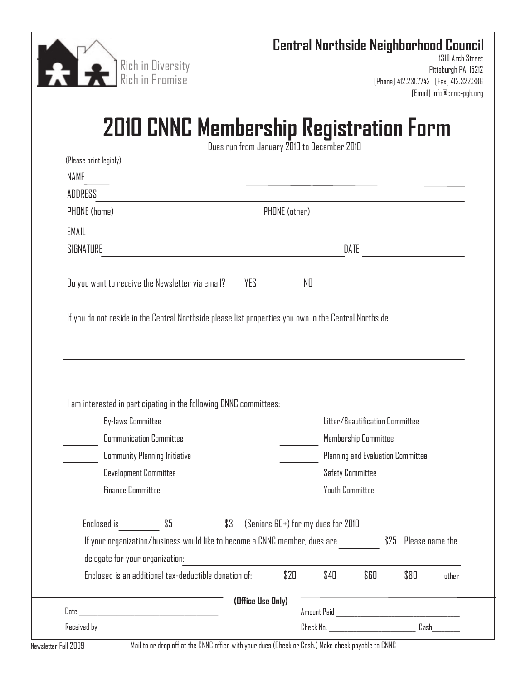

## **Central Northside Neighborhood Council**

1310 Arch Street Pittsburgh PA 15212 [Phone] 412.231.7742 [Fax] 412.322.386 [Email] info@cnnc-pgh.org

## **2010 CNNC Membership Registration Form**

Dues run from January 2010 to December 2010

| ADDRESS                                                                                                |                                                                            |                                                                                                                 |                                                                                    |                                    |                                   |                      |       |
|--------------------------------------------------------------------------------------------------------|----------------------------------------------------------------------------|-----------------------------------------------------------------------------------------------------------------|------------------------------------------------------------------------------------|------------------------------------|-----------------------------------|----------------------|-------|
| PHONE (home)                                                                                           |                                                                            |                                                                                                                 | PHONE (other)                                                                      |                                    |                                   |                      |       |
| EMAIL                                                                                                  |                                                                            | the contract of the contract of the contract of the contract of the contract of the contract of the contract of |                                                                                    |                                    |                                   |                      |       |
| SIGNATURE                                                                                              |                                                                            |                                                                                                                 | DATE<br>the control of the control of the control of the control of the control of |                                    |                                   |                      |       |
| Do you want to receive the Newsletter via email?                                                       |                                                                            | YES                                                                                                             |                                                                                    | NO                                 |                                   |                      |       |
| If you do not reside in the Central Northside please list properties you own in the Central Northside. |                                                                            |                                                                                                                 |                                                                                    |                                    |                                   |                      |       |
|                                                                                                        |                                                                            |                                                                                                                 |                                                                                    |                                    |                                   |                      |       |
|                                                                                                        |                                                                            |                                                                                                                 |                                                                                    |                                    |                                   |                      |       |
|                                                                                                        |                                                                            |                                                                                                                 |                                                                                    |                                    |                                   |                      |       |
|                                                                                                        |                                                                            |                                                                                                                 |                                                                                    |                                    |                                   |                      |       |
| <b>By-laws Committee</b>                                                                               |                                                                            |                                                                                                                 |                                                                                    |                                    | Litter/Beautification Committee   |                      |       |
|                                                                                                        | <b>Communication Committee</b>                                             |                                                                                                                 |                                                                                    |                                    | Membership Committee              |                      |       |
|                                                                                                        | <b>Community Planning Initiative</b>                                       |                                                                                                                 |                                                                                    |                                    | Planning and Evaluation Committee |                      |       |
| I am interested in participating in the following CNNC committees:                                     | <b>Development Committee</b>                                               |                                                                                                                 |                                                                                    |                                    | <b>Safety Committee</b>           |                      |       |
| <b>Finance Committee</b>                                                                               |                                                                            |                                                                                                                 |                                                                                    | <b>Youth Committee</b>             |                                   |                      |       |
| Enclosed is                                                                                            | \$5                                                                        | \$3                                                                                                             |                                                                                    | (Seniors 60+) for my dues for 2010 |                                   |                      |       |
|                                                                                                        | If your organization/business would like to become a CNNC member, dues are |                                                                                                                 |                                                                                    |                                    |                                   | \$25 Please name the |       |
| delegate for your organization:                                                                        |                                                                            |                                                                                                                 |                                                                                    |                                    |                                   |                      |       |
|                                                                                                        | Enclosed is an additional tax-deductible donation of:                      |                                                                                                                 | \$20                                                                               | \$40                               | \$60                              | \$80                 | other |
|                                                                                                        |                                                                            | (Office Use Only)                                                                                               |                                                                                    |                                    |                                   |                      |       |

Newsletter Fall 2009 Mail to or drop off at the CNNC office with your dues (Check or Cash.) Make check payable to CNNC